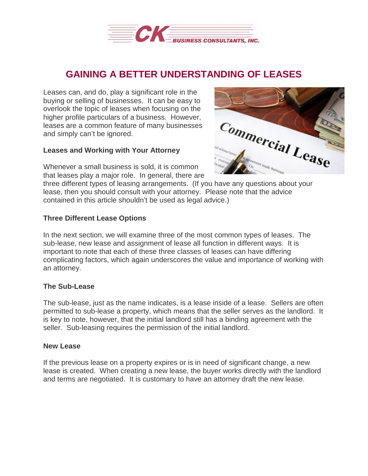

# **GAINING A BETTER UNDERSTANDING OF LEASES**

Leases can, and do, play a significant role in the buying or selling of businesses. It can be easy to overlook the topic of leases when focusing on the higher profile particulars of a business. However, leases are a common feature of many businesses and simply can't be ignored.

## **Leases and Working with Your Attorney**

Whenever a small business is sold, it is common that leases play a major role. In general, there are



three different types of leasing arrangements. (If you have any questions about your lease, then you should consult with your attorney. Please note that the advice contained in this article shouldn't be used as legal advice.)

# **Three Different Lease Options**

In the next section, we will examine three of the most common types of leases. The sub-lease, new lease and assignment of lease all function in different ways. It is important to note that each of these three classes of leases can have differing complicating factors, which again underscores the value and importance of working with an attorney.

#### **The Sub-Lease**

The sub-lease, just as the name indicates, is a lease inside of a lease. Sellers are often permitted to sub-lease a property, which means that the seller serves as the landlord. It is key to note, however, that the initial landlord still has a binding agreement with the seller. Sub-leasing requires the permission of the initial landlord.

#### **New Lease**

If the previous lease on a property expires or is in need of significant change, a new lease is created. When creating a new lease, the buyer works directly with the landlord and terms are negotiated. It is customary to have an attorney draft the new lease.